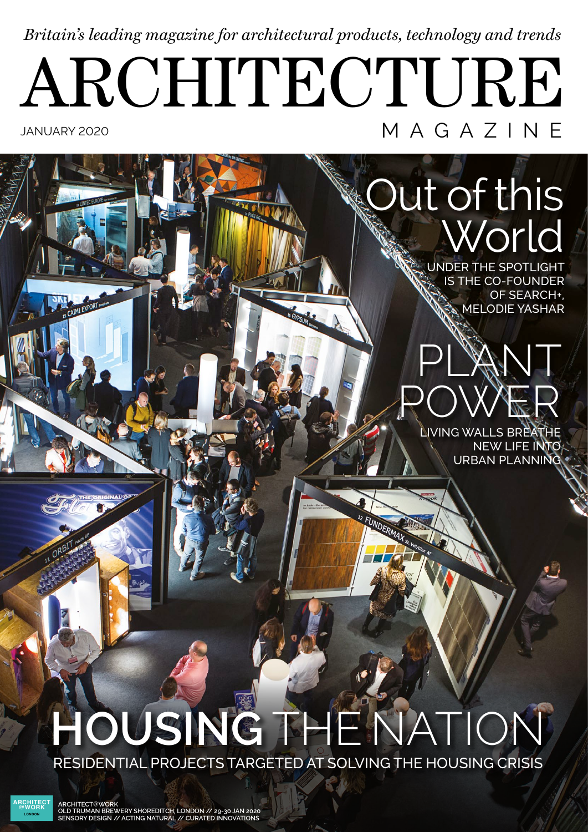### *Britain's leading magazine for architectural products, technology and trends*

## JANUARY 2020 ARCHITECTURE MAGAZINE

## Out of this **World**

UNDER THE SPOTLIGHT IS THE CO-FOUNDER OF SEARCH+, MELODIE YASHAR



NEW LIFE INTO URBAN PLANNING

# **HOUSING** THE NATION

FUNDERMAL

RESIDENTIAL PROJECTS TARGETED AT SOLVING THE HOUSING CRISIS

**ARCHITECT @WORK ARCHITECT@WORK OLD TRUMAN BREWERY SHOREDITCH, LONDON // 29-30 JAN 2020 SENSORY DESIGN // ACTING NATURAL // CURATED INNOVATIONS**

**LON DON**